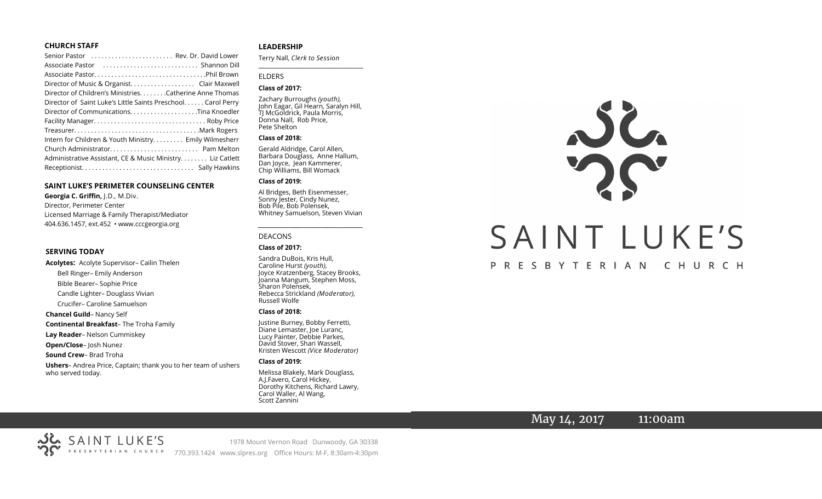#### **CHURCH STAFF**

| Senior Pastor  Rev. Dr. David Lower                          |
|--------------------------------------------------------------|
|                                                              |
|                                                              |
| Director of Music & Organist. Clair Maxwell                  |
| Director of Children's Ministries. Catherine Anne Thomas     |
| Director of Saint Luke's Little Saints Preschool Carol Perry |
|                                                              |
|                                                              |
|                                                              |
| Intern for Children & Youth Ministry Emily Wilmesherr        |
|                                                              |
| Administrative Assistant, CE & Music Ministry. Liz Catlett   |
|                                                              |

#### **SAINT LUKE'S PERIMETER COUNSELING CENTER**

**Georgia C. Griffin,** J.D., M.Div. Director, Perimeter Center Licensed Marriage & Family Therapist/Mediator 404.636.1457, ext.452 • www.cccgeorgia.org

#### **SERVING TODAY**

**Acolytes:** Acolyte Supervisor– Cailin Thelen Bell Ringer– Emily Anderson Bible Bearer– Sophie Price Candle Lighter– Douglass Vivian Crucifer– Caroline Samuelson **Chancel Guild**– Nancy Self **Continental Breakfast**– The Troha Family **Lay Reader**– Nelson Cummiskey **Open/Close**– Josh Nunez **Sound Crew**– Brad Troha **Ushers**– Andrea Price, Captain; thank you to her team of ushers who served today.

#### **LEADERSHIP**

Terry Nall, *Clerk to Session* 

**\_\_\_\_\_\_\_\_\_\_\_\_\_\_\_\_\_\_\_\_\_\_\_\_\_\_\_\_\_\_\_\_\_\_\_\_\_\_\_**

#### ELDERS

#### **Class of 2017:**

Zachary Burroughs *(youth),*  John Eagar, Gil Hearn, Saralyn Hill, TJ McGoldrick, Paula Morris, Donna Nall, Rob Price, Pete Shelton

#### **Class of 2018:**

Gerald Aldridge, Carol Allen, Barbara Douglass, Anne Hallum, Dan Joyce, Jean Kammerer, Chip Williams, Bill Womack

#### **Class of 2019:**

Al Bridges, Beth Eisenmesser, Sonny Jester, Cindy Nunez, Bob Pile, Bob Polensek, Whitney Samuelson, Steven Vivian

*\_\_\_\_\_\_\_\_\_\_\_\_\_\_\_\_\_\_\_\_\_\_\_\_\_\_\_\_\_\_\_\_\_\_\_\_\_*

# DEACONS

#### **Class of 2017:**

Sandra DuBois, Kris Hull, Caroline Hurst *(youth),* Joyce Kratzenberg, Stacey Brooks, Joanna Mangum, Stephen Moss, Sharon Polensek, Rebecca Strickland *(Moderator),*  Russell Wolfe

#### **Class of 2018:**

Justine Burney, Bobby Ferretti, Diane Lemaster, Joe Luranc, Lucy Painter, Debbie Parkes, David Stover, Shari Wassell, Kristen Wescott *(Vice Moderator)*

#### **Class of 2019:**

Melissa Blakely, Mark Douglass, A.J.Favero, Carol Hickey, Dorothy Kitchens, Richard Lawry, Carol Waller, Al Wang, Scott Zannini



# PRESBYTERIAN CHURCH

# May 14, 2017 11:00am



1978 Mount Vernon Road Dunwoody, GA 30338 770.393.1424 www.slpres.org Office Hours: M-F, 8:30am-4:30pm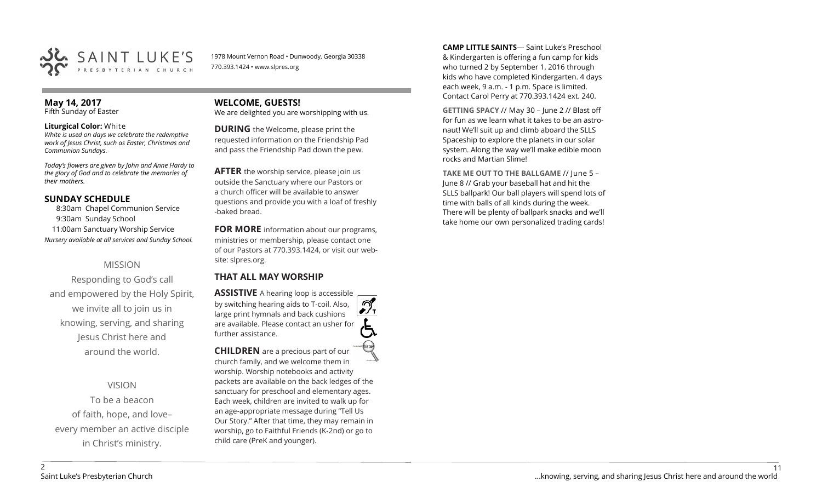

1978 Mount Vernon Road • Dunwoody, Georgia 30338 770.393.1424 • www.slpres.org

#### **May 14, 2017**  Fifth Sunday of Easter

#### **Liturgical Color:** White

*White is used on days we celebrate the redemptive work of Jesus Christ, such as Easter, Christmas and Communion Sundays.*

*Today's flowers are given by John and Anne Hardy to the glory of God and to celebrate the memories of their mothers.*

# **SUNDAY SCHEDULE**

8:30am Chapel Communion Service 9:30am Sunday School 11:00am Sanctuary Worship Service *Nursery available at all services and Sunday School.*

# MISSION

Responding to God's call and empowered by the Holy Spirit, we invite all to join us in knowing, serving, and sharing Jesus Christ here and around the world.

VISION

To be a beacon of faith, hope, and love– every member an active disciple in Christ's ministry.

**WELCOME, GUESTS!**  We are delighted you are worshipping with us.

**DURING** the Welcome, please print the requested information on the Friendship Pad and pass the Friendship Pad down the pew.

**AFTER** the worship service, please join us outside the Sanctuary where our Pastors or a church officer will be available to answer questions and provide you with a loaf of freshly -baked bread.

**FOR MORE** information about our programs, ministries or membership, please contact one of our Pastors at 770.393.1424, or visit our website: slpres.org.

# **THAT ALL MAY WORSHIP**

**ASSISTIVE** A hearing loop is accessible ീ by switching hearing aids to T-coil. Also,  $\frac{1}{\sqrt{1}}$ large print hymnals and back cushions are available. Please contact an usher for further assistance.

**CHILDREN** are a precious part of our church family, and we welcome them in worship. Worship notebooks and activity packets are available on the back ledges of the sanctuary for preschool and elementary ages. Each week, children are invited to walk up for an age-appropriate message during "Tell Us Our Story." After that time, they may remain in worship, go to Faithful Friends (K-2nd) or go to child care (PreK and younger).

**CAMP LITTLE SAINTS**— Saint Luke's Preschool & Kindergarten is offering a fun camp for kids who turned 2 by September 1, 2016 through kids who have completed Kindergarten. 4 days each week, 9 a.m. - 1 p.m. Space is limited. Contact Carol Perry at 770.393.1424 ext. 240.

**GETTING SPACY** // May 30 – June 2 // Blast off for fun as we learn what it takes to be an astronaut! We'll suit up and climb aboard the SLLS Spaceship to explore the planets in our solar system. Along the way we'll make edible moon rocks and Martian Slime!

**TAKE ME OUT TO THE BALLGAME** // June 5 – June 8 // Grab your baseball hat and hit the SLLS ballpark! Our ball players will spend lots of time with balls of all kinds during the week. There will be plenty of ballpark snacks and we'll take home our own personalized trading cards!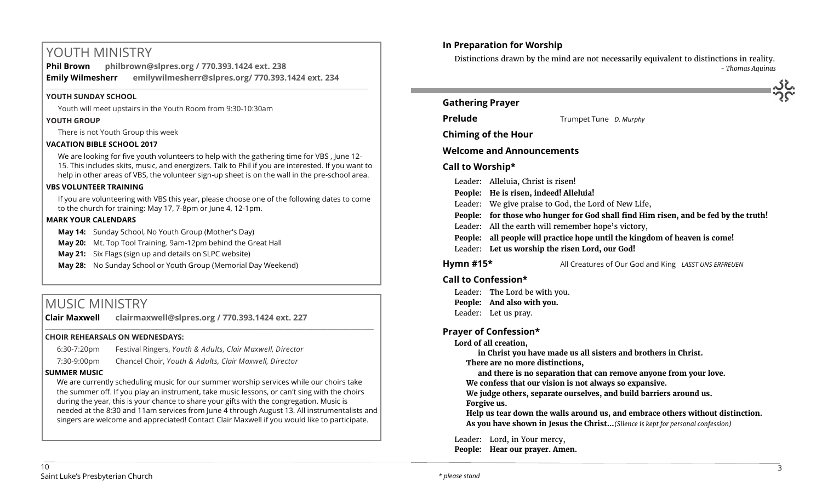# YOUTH MINISTRY

**Phil Brown philbrown@slpres.org / 770.393.1424 ext. 238 Emily Wilmesherr emilywilmesherr@slpres.org/ 770.393.1424 ext. 234**   $\_$  ,  $\_$  ,  $\_$  ,  $\_$  ,  $\_$  ,  $\_$  ,  $\_$  ,  $\_$  ,  $\_$  ,  $\_$  ,  $\_$  ,  $\_$  ,  $\_$  ,  $\_$  ,  $\_$  ,  $\_$  ,  $\_$  ,  $\_$  ,  $\_$  ,  $\_$ 

### **YOUTH SUNDAY SCHOOL**

Youth will meet upstairs in the Youth Room from 9:30-10:30am

### **YOUTH GROUP**

There is not Youth Group this week

# **VACATION BIBLE SCHOOL 2017**

We are looking for five youth volunteers to help with the gathering time for VBS , June 12- 15. This includes skits, music, and energizers. Talk to Phil if you are interested. If you want to help in other areas of VBS, the volunteer sign-up sheet is on the wall in the pre-school area.

### **VBS VOLUNTEER TRAINING**

If you are volunteering with VBS this year, please choose one of the following dates to come to the church for training: May 17, 7-8pm or June 4, 12-1pm.

#### **MARK YOUR CALENDARS**

**May 14:** Sunday School, No Youth Group (Mother's Day)

**May 20:** Mt. Top Tool Training. 9am-12pm behind the Great Hall

**May 21:** Six Flags (sign up and details on SLPC website)

**May 28:** No Sunday School or Youth Group (Memorial Day Weekend)

# MUSIC MINISTRY

**Clair Maxwell clairmaxwell@slpres.org / 770.393.1424 ext. 227** 

#### **CHOIR REHEARSALS ON WEDNESDAYS:**

| 6:30-7:20pm | Festival Ringers, Youth & Adults, Clair Maxwell, Director |
|-------------|-----------------------------------------------------------|
| 7:30-9:00pm | Chancel Choir, Youth & Adults, Clair Maxwell, Director    |

# **SUMMER MUSIC**

We are currently scheduling music for our summer worship services while our choirs take the summer off. If you play an instrument, take music lessons, or can't sing with the choirs during the year, this is your chance to share your gifts with the congregation. Music is needed at the 8:30 and 11am services from June 4 through August 13. All instrumentalists and singers are welcome and appreciated! Contact Clair Maxwell if you would like to participate.

\_\_\_\_\_\_\_\_\_\_\_\_\_\_\_\_\_\_\_\_\_\_\_\_\_\_\_\_\_\_\_\_\_\_\_\_\_\_\_\_\_\_\_\_\_\_\_\_\_\_\_\_\_\_\_\_\_\_\_\_\_\_\_\_\_\_\_\_\_\_\_\_\_\_\_\_\_\_\_\_\_\_\_\_\_\_\_\_\_\_\_\_\_\_\_\_\_\_\_\_



Distinctions drawn by the mind are not necessarily equivalent to distinctions in reality. *- Thomas Aquinas*



# **Gathering Prayer**

**Prelude** Trumpet Tune *D. Murphy* 

**Chiming of the Hour**

# **Welcome and Announcements**

# **Call to Worship\***

Leader: Alleluia, Christ is risen! **People: He is risen, indeed! Alleluia!**  Leader: We give praise to God, the Lord of New Life, **People: for those who hunger for God shall find Him risen, and be fed by the truth!** Leader: All the earth will remember hope's victory, **People: all people will practice hope until the kingdom of heaven is come!** Leader: **Let us worship the risen Lord, our God! Hymn #15\*** All Creatures of Our God and King *LASST UNS ERFREUEN*

# **Call to Confession\***

Leader: The Lord be with you. **People: And also with you.** Leader: Let us pray.

# **Prayer of Confession\***

# **Lord of all creation,**

**in Christ you have made us all sisters and brothers in Christ.**

**There are no more distinctions,**

**and there is no separation that can remove anyone from your love. We confess that our vision is not always so expansive.** 

**We judge others, separate ourselves, and build barriers around us. Forgive us.** 

**Help us tear down the walls around us, and embrace others without distinction. As you have shown in Jesus the Christ...***(Silence is kept for personal confession)* 

Leader: Lord, in Your mercy, **People: Hear our prayer. Amen.**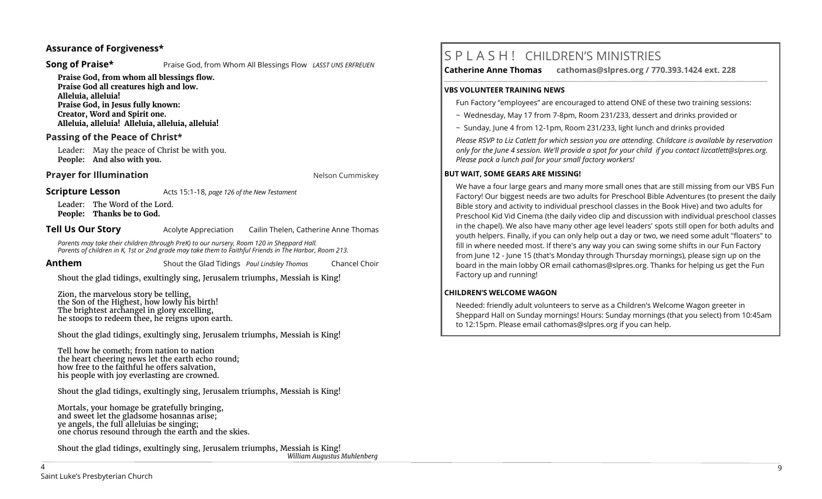# **Assurance of Forgiveness\***

**Song of Praise\* Praise God, from Whom All Blessings Flow** *LASST UNS ERFREUEN* 

**Praise God, from whom all blessings flow. Praise God all creatures high and low. Alleluia, alleluia! Praise God, in Jesus fully known: Creator, Word and Spirit one. Alleluia, alleluia! Alleluia, alleluia, alleluia!** 

# **Passing of the Peace of Christ\***

Leader: May the peace of Christ be with you. **People: And also with you.**

### **Prayer for Illumination Nelson Cummiskey Nelson Cummiskey**

**Scripture Lesson** Acts 15:1-18, *page 126 of the New Testament* 

Leader: The Word of the Lord. **People: Thanks be to God.**

**Tell Us Our Story Acolyte Appreciation** Cailin Thelen, Catherine Anne Thomas

 *Parents may take their children (through PreK) to our nursery, Room 120 in Sheppard Hall. Parents of children in K, 1st or 2nd grade may take them to Faithful Friends in The Harbor, Room 213.*

**Anthem** Shout the Glad Tidings *Paul Lindsley Thomas* Chancel Choir

Shout the glad tidings, exultingly sing, Jerusalem triumphs, Messiah is King!

Zion, the marvelous story be telling, the Son of the Highest, how lowly his birth! The brightest archangel in glory excelling, he stoops to redeem thee, he reigns upon earth.

Shout the glad tidings, exultingly sing, Jerusalem triumphs, Messiah is King!

Tell how he cometh; from nation to nation the heart cheering news let the earth echo round; how free to the faithful he offers salvation, his people with joy everlasting are crowned.

Shout the glad tidings, exultingly sing, Jerusalem triumphs, Messiah is King!

Mortals, your homage be gratefully bringing, and sweet let the gladsome hosannas arise; ye angels, the full alleluias be singing; one chorus resound through the earth and the skies.

Shout the glad tidings, exultingly sing, Jerusalem triumphs, Messiah is King! *William Augustus Muhlenberg*

# S P L A S H ! CHILDREN'S MINISTRIES

**Catherine Anne Thomas cathomas@slpres.org / 770.393.1424 ext. 228** 

#### **VBS VOLUNTEER TRAINING NEWS**

Fun Factory "employees" are encouraged to attend ONE of these two training sessions:

**\_\_\_\_\_\_\_\_\_\_\_\_\_\_\_\_\_\_\_\_\_\_\_\_\_\_\_\_\_\_\_\_\_\_\_\_\_\_\_\_\_\_\_\_\_\_\_\_\_\_\_\_\_\_\_\_\_\_\_\_\_\_\_\_\_\_\_\_\_\_\_\_\_\_\_\_\_\_\_\_\_\_\_\_\_\_\_\_\_\_\_\_\_\_\_\_\_\_\_\_\_\_\_\_\_\_\_** 

- ~ Wednesday, May 17 from 7-8pm, Room 231/233, dessert and drinks provided or
- ~ Sunday, June 4 from 12-1pm, Room 231/233, light lunch and drinks provided

*Please RSVP to Liz Catlett for which session you are attending. Childcare is available by reservation only for the June 4 session. We'll provide a spot for your child if you contact [lizcatlett@slpres.org.](mailto:lizcatlett@slpres.org)  Please pack a lunch pail for your small factory workers!*

#### **BUT WAIT, SOME GEARS ARE MISSING!**

We have a four large gears and many more small ones that are still missing from our VBS Fun Factory! Our biggest needs are two adults for Preschool Bible Adventures (to present the daily Bible story and activity to individual preschool classes in the Book Hive) and two adults for Preschool Kid Vid Cinema (the daily video clip and discussion with individual preschool classes in the chapel). We also have many other age level leaders' spots still open for both adults and youth helpers. Finally, if you can only help out a day or two, we need some adult "floaters" to fill in where needed most. If there's any way you can swing some shifts in our Fun Factory from June 12 - June 15 (that's Monday through Thursday mornings), please sign up on the board in the main lobby OR email [cathomas@slpres.org.](mailto:cathomas@slpres.orgThanks) Thanks for helping us get the Fun Factory up and running!

#### **CHILDREN'S WELCOME WAGON**

Needed: friendly adult volunteers to serve as a Children's Welcome Wagon greeter in Sheppard Hall on Sunday mornings! Hours: Sunday mornings (that you select) from 10:45am to 12:15pm. Please email [cathomas@slpres.org](mailto:cathomas@slpres.org) if you can help.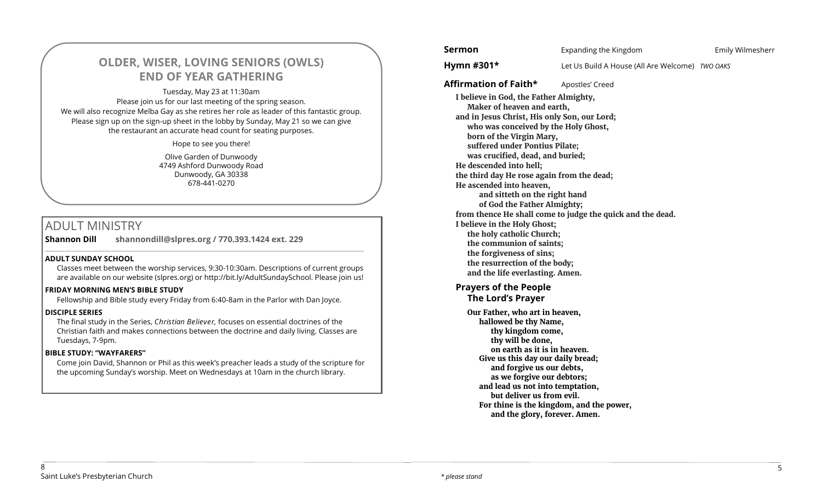# **OLDER, WISER, LOVING SENIORS (OWLS) END OF YEAR GATHERING**

Tuesday, May 23 at 11:30am Please join us for our last meeting of the spring season. We will also recognize Melba Gay as she retires her role as leader of this fantastic group. Please sign up on the sign-up sheet in the lobby by Sunday, May 21 so we can give the restaurant an accurate head count for seating purposes.

Hope to see you there!

Olive Garden of Dunwoody 4749 Ashford Dunwoody Road Dunwoody, GA 30338 678-441-0270

# ADULT MINISTRY

**Shannon Dill shannondill@slpres.org / 770.393.1424 ext. 229** 

# **ADULT SUNDAY SCHOOL**

Classes meet between the worship services, 9:30-10:30am. Descriptions of current groups are available on our website (slpres.org) or http://bit.ly/AdultSundaySchool. Please join us!

 $\_$  ,  $\_$  ,  $\_$  ,  $\_$  ,  $\_$  ,  $\_$  ,  $\_$  ,  $\_$  ,  $\_$  ,  $\_$  ,  $\_$  ,  $\_$  ,  $\_$  ,  $\_$  ,  $\_$  ,  $\_$  ,  $\_$  ,  $\_$  ,  $\_$  ,  $\_$ 

#### **FRIDAY MORNING MEN'S BIBLE STUDY**

Fellowship and Bible study every Friday from 6:40-8am in the Parlor with Dan Joyce.

#### **DISCIPLE SERIES**

The final study in the Series, *Christian Believer,* focuses on essential doctrines of the Christian faith and makes connections between the doctrine and daily living. Classes are Tuesdays, 7-9pm.

# **BIBLE STUDY: "WAYFARERS"**

Come join David, Shannon or Phil as this week's preacher leads a study of the scripture for the upcoming Sunday's worship. Meet on Wednesdays at 10am in the church library.

**Sermon** Expanding the Kingdom Emily Wilmesherr **Hymn #301\*** Let Us Build A House (All Are Welcome) *TWO OAKS* **Affirmation of Faith\*** Apostles' Creed **I believe in God, the Father Almighty, Maker of heaven and earth, and in Jesus Christ, His only Son, our Lord; who was conceived by the Holy Ghost, born of the Virgin Mary, suffered under Pontius Pilate; was crucified, dead, and buried; He descended into hell; the third day He rose again from the dead; He ascended into heaven, and sitteth on the right hand of God the Father Almighty; from thence He shall come to judge the quick and the dead. I believe in the Holy Ghost; the holy catholic Church; the communion of saints; the forgiveness of sins; the resurrection of the body; and the life everlasting. Amen. Prayers of the People The Lord's Prayer Our Father, who art in heaven, hallowed be thy Name, thy kingdom come, thy will be done, on earth as it is in heaven. Give us this day our daily bread; and forgive us our debts, as we forgive our debtors; and lead us not into temptation, but deliver us from evil. For thine is the kingdom, and the power, and the glory, forever. Amen.**